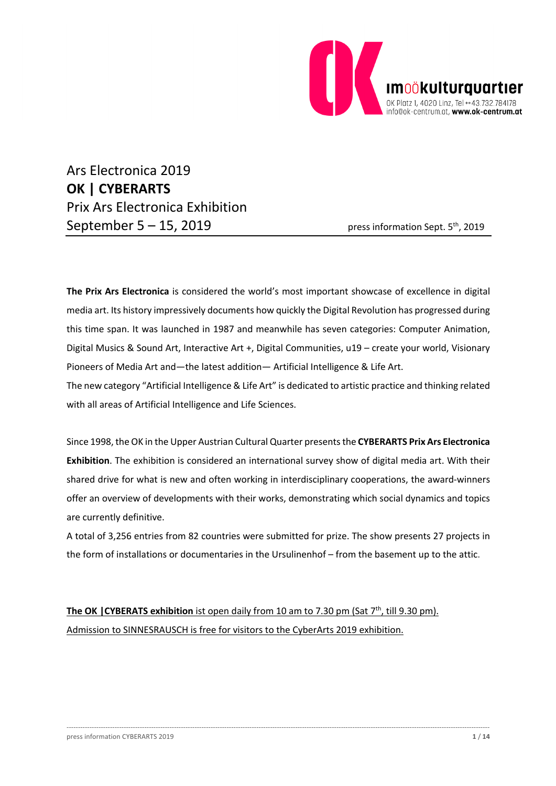

Ars Electronica 2019 **OK | CYBERARTS** Prix Ars Electronica Exhibition September  $5 - 15$ , 2019 press information Sept.  $5<sup>th</sup>$ , 2019

**The Prix Ars Electronica** is considered the world's most important showcase of excellence in digital media art. Its history impressively documents how quickly the Digital Revolution has progressed during this time span. It was launched in 1987 and meanwhile has seven categories: Computer Animation, Digital Musics & Sound Art, Interactive Art +, Digital Communities, u19 – create your world, Visionary Pioneers of Media Art and—the latest addition— Artificial Intelligence & Life Art.

The new category "Artificial Intelligence & Life Art" is dedicated to artistic practice and thinking related with all areas of Artificial Intelligence and Life Sciences.

Since 1998, the OK in the Upper Austrian Cultural Quarter presents the **CYBERARTS Prix Ars Electronica Exhibition**. The exhibition is considered an international survey show of digital media art. With their shared drive for what is new and often working in interdisciplinary cooperations, the award-winners offer an overview of developments with their works, demonstrating which social dynamics and topics are currently definitive.

A total of 3,256 entries from 82 countries were submitted for prize. The show presents 27 projects in the form of installations or documentaries in the Ursulinenhof – from the basement up to the attic.

-----------------------------------------------------------------------------------------------------------------------------------------------------------------------------------------

**The OK | CYBERATS exhibition** ist open daily from 10 am to 7.30 pm (Sat 7<sup>th</sup>, till 9.30 pm). Admission to SINNESRAUSCH is free for visitors to the CyberArts 2019 exhibition.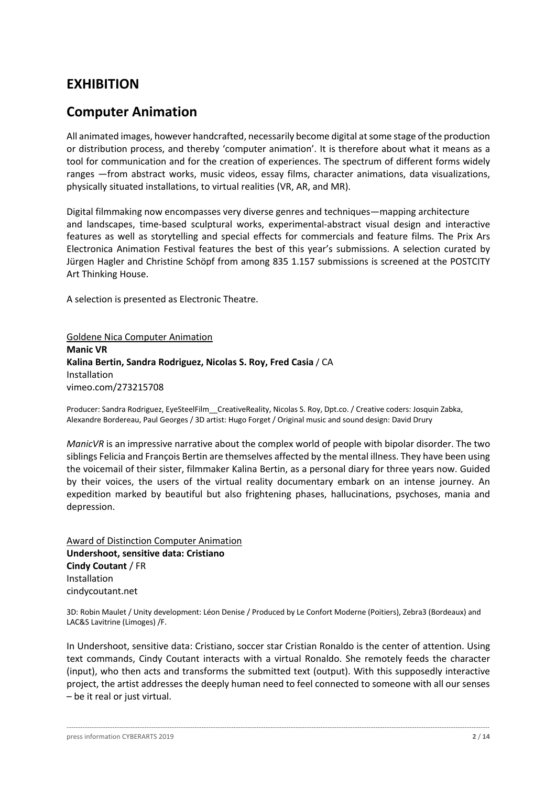## **EXHIBITION**

## **Computer Animation**

All animated images, however handcrafted, necessarily become digital at some stage of the production or distribution process, and thereby 'computer animation'. It is therefore about what it means as a tool for communication and for the creation of experiences. The spectrum of different forms widely ranges —from abstract works, music videos, essay films, character animations, data visualizations, physically situated installations, to virtual realities (VR, AR, and MR).

Digital filmmaking now encompasses very diverse genres and techniques—mapping architecture and landscapes, time-based sculptural works, experimental-abstract visual design and interactive features as well as storytelling and special effects for commercials and feature films. The Prix Ars Electronica Animation Festival features the best of this year's submissions. A selection curated by Jürgen Hagler and Christine Schöpf from among 835 1.157 submissions is screened at the POSTCITY Art Thinking House.

A selection is presented as Electronic Theatre.

Goldene Nica Computer Animation **Manic VR Kalina Bertin, Sandra Rodriguez, Nicolas S. Roy, Fred Casia** / CA Installation vimeo.com/273215708

Producer: Sandra Rodriguez, EyeSteelFilm\_\_CreativeReality, Nicolas S. Roy, Dpt.co. / Creative coders: Josquin Zabka, Alexandre Bordereau, Paul Georges / 3D artist: Hugo Forget / Original music and sound design: David Drury

*ManicVR* is an impressive narrative about the complex world of people with bipolar disorder. The two siblings Felicia and François Bertin are themselves affected by the mental illness. They have been using the voicemail of their sister, filmmaker Kalina Bertin, as a personal diary for three years now. Guided by their voices, the users of the virtual reality documentary embark on an intense journey. An expedition marked by beautiful but also frightening phases, hallucinations, psychoses, mania and depression.

Award of Distinction Computer Animation **Undershoot, sensitive data: Cristiano Cindy Coutant** / FR Installation cindycoutant.net

3D: Robin Maulet / Unity development: Léon Denise / Produced by Le Confort Moderne (Poitiers), Zebra3 (Bordeaux) and LAC&S Lavitrine (Limoges) /F.

In Undershoot, sensitive data: Cristiano, soccer star Cristian Ronaldo is the center of attention. Using text commands, Cindy Coutant interacts with a virtual Ronaldo. She remotely feeds the character (input), who then acts and transforms the submitted text (output). With this supposedly interactive project, the artist addresses the deeply human need to feel connected to someone with all our senses – be it real or just virtual.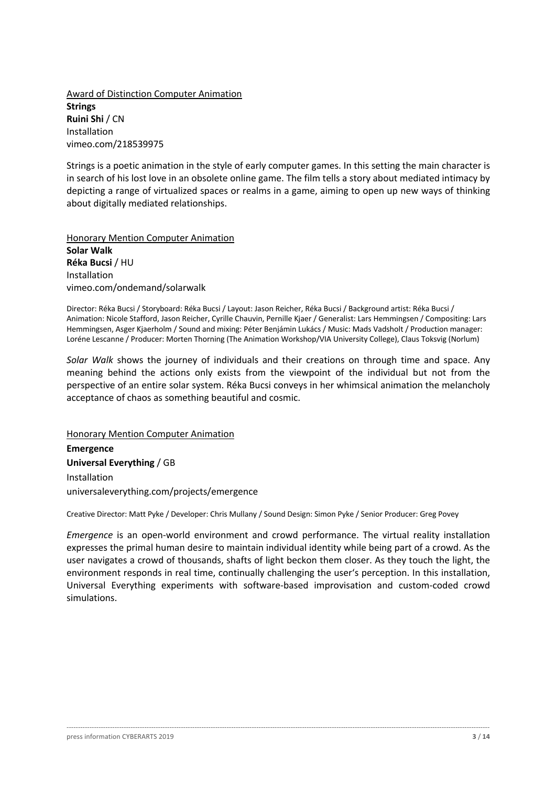Award of Distinction Computer Animation **Strings Ruini Shi** / CN Installation vimeo.com/218539975

Strings is a poetic animation in the style of early computer games. In this setting the main character is in search of his lost love in an obsolete online game. The film tells a story about mediated intimacy by depicting a range of virtualized spaces or realms in a game, aiming to open up new ways of thinking about digitally mediated relationships.

Honorary Mention Computer Animation **Solar Walk Réka Bucsi** / HU Installation vimeo.com/ondemand/solarwalk

Director: Réka Bucsi / Storyboard: Réka Bucsi / Layout: Jason Reicher, Réka Bucsi / Background artist: Réka Bucsi / Animation: Nicole Stafford, Jason Reicher, Cyrille Chauvin, Pernille Kjaer / Generalist: Lars Hemmingsen / Compositing: Lars Hemmingsen, Asger Kjaerholm / Sound and mixing: Péter Benjámin Lukács / Music: Mads Vadsholt / Production manager: Loréne Lescanne / Producer: Morten Thorning (The Animation Workshop/VIA University College), Claus Toksvig (Norlum)

*Solar Walk* shows the journey of individuals and their creations on through time and space. Any meaning behind the actions only exists from the viewpoint of the individual but not from the perspective of an entire solar system. Réka Bucsi conveys in her whimsical animation the melancholy acceptance of chaos as something beautiful and cosmic.

Honorary Mention Computer Animation **Emergence Universal Everything** / GB Installation universaleverything.com/projects/emergence

Creative Director: Matt Pyke / Developer: Chris Mullany / Sound Design: Simon Pyke / Senior Producer: Greg Povey

*Emergence* is an open-world environment and crowd performance. The virtual reality installation expresses the primal human desire to maintain individual identity while being part of a crowd. As the user navigates a crowd of thousands, shafts of light beckon them closer. As they touch the light, the environment responds in real time, continually challenging the user's perception. In this installation, Universal Everything experiments with software-based improvisation and custom-coded crowd simulations.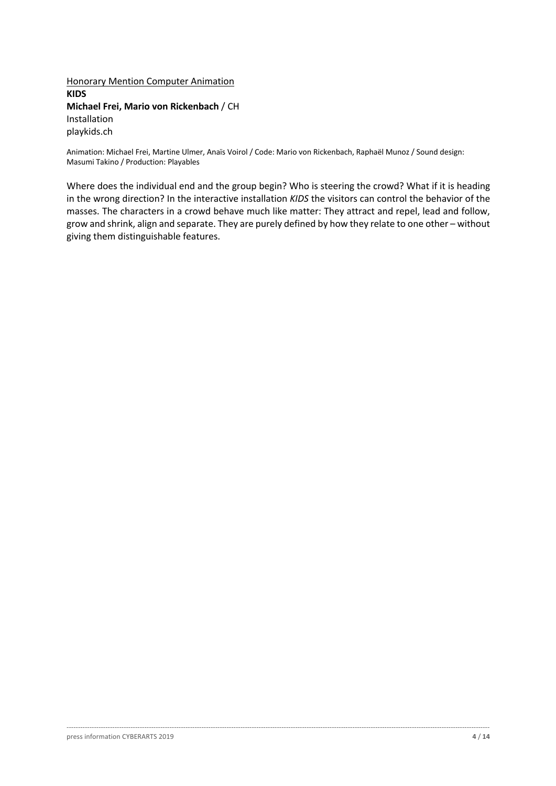Honorary Mention Computer Animation **KIDS Michael Frei, Mario von Rickenbach** / CH Installation playkids.ch

Animation: Michael Frei, Martine Ulmer, Anaïs Voirol / Code: Mario von Rickenbach, Raphaël Munoz / Sound design: Masumi Takino / Production: Playables

Where does the individual end and the group begin? Who is steering the crowd? What if it is heading in the wrong direction? In the interactive installation *KIDS* the visitors can control the behavior of the masses. The characters in a crowd behave much like matter: They attract and repel, lead and follow, grow and shrink, align and separate. They are purely defined by how they relate to one other – without giving them distinguishable features.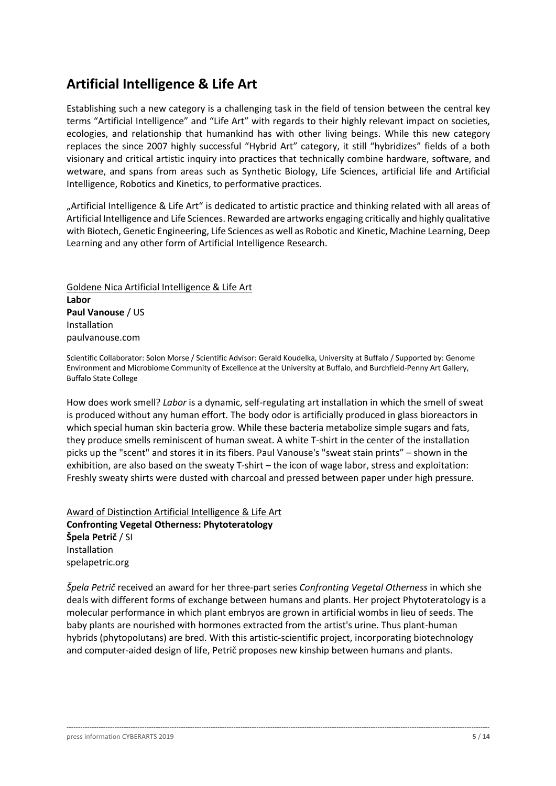## **Artificial Intelligence & Life Art**

Establishing such a new category is a challenging task in the field of tension between the central key terms "Artificial Intelligence" and "Life Art" with regards to their highly relevant impact on societies, ecologies, and relationship that humankind has with other living beings. While this new category replaces the since 2007 highly successful "Hybrid Art" category, it still "hybridizes" fields of a both visionary and critical artistic inquiry into practices that technically combine hardware, software, and wetware, and spans from areas such as Synthetic Biology, Life Sciences, artificial life and Artificial Intelligence, Robotics and Kinetics, to performative practices.

"Artificial Intelligence & Life Art" is dedicated to artistic practice and thinking related with all areas of Artificial Intelligence and Life Sciences. Rewarded are artworks engaging critically and highly qualitative with Biotech, Genetic Engineering, Life Sciences as well as Robotic and Kinetic, Machine Learning, Deep Learning and any other form of Artificial Intelligence Research.

Goldene Nica Artificial Intelligence & Life Art **Labor Paul Vanouse** / US Installation paulvanouse.com

Scientific Collaborator: Solon Morse / Scientific Advisor: Gerald Koudelka, University at Buffalo / Supported by: Genome Environment and Microbiome Community of Excellence at the University at Buffalo, and Burchfield-Penny Art Gallery, Buffalo State College

How does work smell? *Labor* is a dynamic, self-regulating art installation in which the smell of sweat is produced without any human effort. The body odor is artificially produced in glass bioreactors in which special human skin bacteria grow. While these bacteria metabolize simple sugars and fats, they produce smells reminiscent of human sweat. A white T-shirt in the center of the installation picks up the "scent" and stores it in its fibers. Paul Vanouse's "sweat stain prints" – shown in the exhibition, are also based on the sweaty T-shirt – the icon of wage labor, stress and exploitation: Freshly sweaty shirts were dusted with charcoal and pressed between paper under high pressure.

Award of Distinction Artificial Intelligence & Life Art **Confronting Vegetal Otherness: Phytoteratology Špela Petrič** / SI Installation spelapetric.org

*Špela Petrič* received an award for her three-part series *Confronting Vegetal Otherness* in which she deals with different forms of exchange between humans and plants. Her project Phytoteratology is a molecular performance in which plant embryos are grown in artificial wombs in lieu of seeds. The baby plants are nourished with hormones extracted from the artist's urine. Thus plant-human hybrids (phytopolutans) are bred. With this artistic-scientific project, incorporating biotechnology and computer-aided design of life, Petrič proposes new kinship between humans and plants.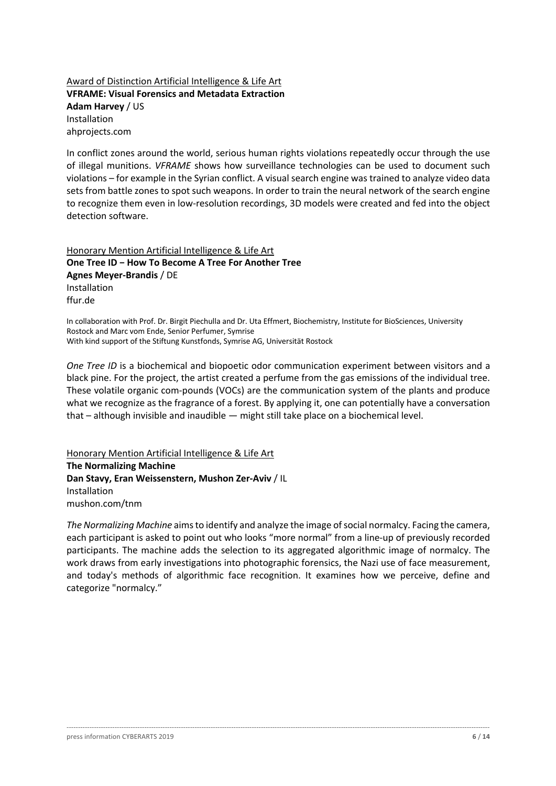### Award of Distinction Artificial Intelligence & Life Art **VFRAME: Visual Forensics and Metadata Extraction Adam Harvey** / US Installation ahprojects.com

In conflict zones around the world, serious human rights violations repeatedly occur through the use of illegal munitions. *VFRAME* shows how surveillance technologies can be used to document such violations – for example in the Syrian conflict. A visual search engine was trained to analyze video data sets from battle zones to spot such weapons. In order to train the neural network of the search engine to recognize them even in low-resolution recordings, 3D models were created and fed into the object detection software.

Honorary Mention Artificial Intelligence & Life Art **One Tree ID − How To Become A Tree For Another Tree Agnes Meyer-Brandis** / DE Installation ffur.de

In collaboration with Prof. Dr. Birgit Piechulla and Dr. Uta Effmert, Biochemistry, Institute for BioSciences, University Rostock and Marc vom Ende, Senior Perfumer, Symrise With kind support of the Stiftung Kunstfonds, Symrise AG, Universität Rostock

*One Tree ID* is a biochemical and biopoetic odor communication experiment between visitors and a black pine. For the project, the artist created a perfume from the gas emissions of the individual tree. These volatile organic com-pounds (VOCs) are the communication system of the plants and produce what we recognize as the fragrance of a forest. By applying it, one can potentially have a conversation that – although invisible and inaudible — might still take place on a biochemical level.

Honorary Mention Artificial Intelligence & Life Art **The Normalizing Machine Dan Stavy, Eran Weissenstern, Mushon Zer-Aviv** / IL Installation mushon.com/tnm

*The Normalizing Machine* aims to identify and analyze the image of social normalcy. Facing the camera, each participant is asked to point out who looks "more normal" from a line-up of previously recorded participants. The machine adds the selection to its aggregated algorithmic image of normalcy. The work draws from early investigations into photographic forensics, the Nazi use of face measurement, and today's methods of algorithmic face recognition. It examines how we perceive, define and categorize "normalcy."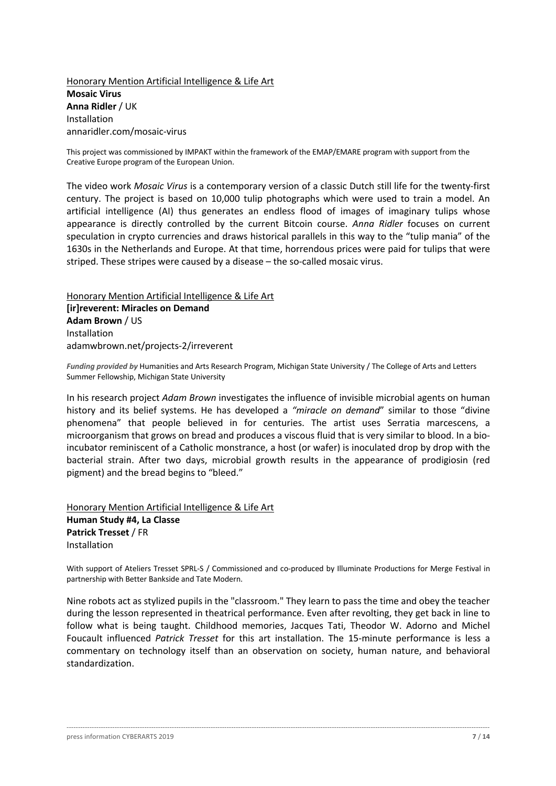Honorary Mention Artificial Intelligence & Life Art **Mosaic Virus Anna Ridler** / UK Installation annaridler.com/mosaic-virus

This project was commissioned by IMPAKT within the framework of the EMAP/EMARE program with support from the Creative Europe program of the European Union.

The video work *Mosaic Virus* is a contemporary version of a classic Dutch still life for the twenty-first century. The project is based on 10,000 tulip photographs which were used to train a model. An artificial intelligence (AI) thus generates an endless flood of images of imaginary tulips whose appearance is directly controlled by the current Bitcoin course. *Anna Ridler* focuses on current speculation in crypto currencies and draws historical parallels in this way to the "tulip mania" of the 1630s in the Netherlands and Europe. At that time, horrendous prices were paid for tulips that were striped. These stripes were caused by a disease – the so-called mosaic virus.

Honorary Mention Artificial Intelligence & Life Art **[ir]reverent: Miracles on Demand Adam Brown** / US Installation adamwbrown.net/projects-2/irreverent

*Funding provided by* Humanities and Arts Research Program, Michigan State University / The College of Arts and Letters Summer Fellowship, Michigan State University

In his research project *Adam Brown* investigates the influence of invisible microbial agents on human history and its belief systems. He has developed a *"miracle on demand*" similar to those "divine phenomena" that people believed in for centuries. The artist uses Serratia marcescens, a microorganism that grows on bread and produces a viscous fluid that is very similar to blood. In a bioincubator reminiscent of a Catholic monstrance, a host (or wafer) is inoculated drop by drop with the bacterial strain. After two days, microbial growth results in the appearance of prodigiosin (red pigment) and the bread begins to "bleed."

Honorary Mention Artificial Intelligence & Life Art **Human Study #4, La Classe Patrick Tresset** / FR Installation

With support of Ateliers Tresset SPRL-S / Commissioned and co-produced by Illuminate Productions for Merge Festival in partnership with Better Bankside and Tate Modern.

Nine robots act as stylized pupils in the "classroom." They learn to pass the time and obey the teacher during the lesson represented in theatrical performance. Even after revolting, they get back in line to follow what is being taught. Childhood memories, Jacques Tati, Theodor W. Adorno and Michel Foucault influenced *Patrick Tresset* for this art installation. The 15-minute performance is less a commentary on technology itself than an observation on society, human nature, and behavioral standardization.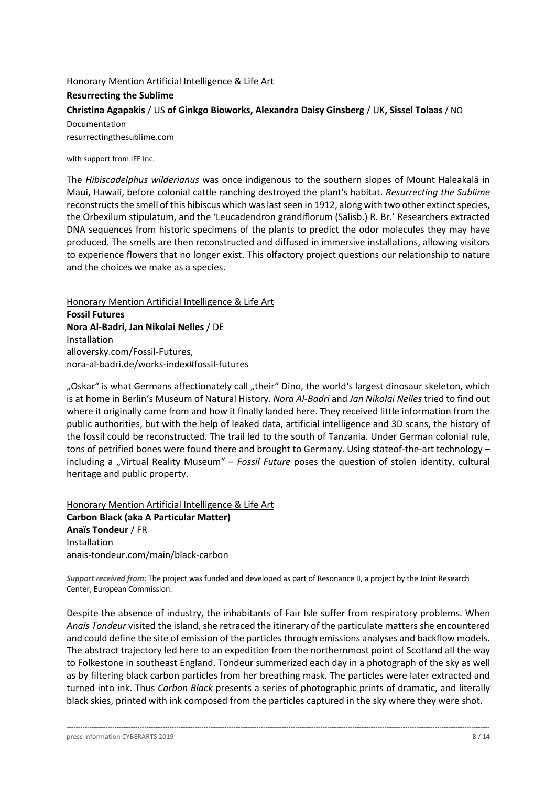## Honorary Mention Artificial Intelligence & Life Art **Resurrecting the Sublime Christina Agapakis** / US **of Ginkgo Bioworks, Alexandra Daisy Ginsberg** / UK**, Sissel Tolaas** / NO Documentation resurrectingthesublime.com

with support from IFF Inc.

The *Hibiscadelphus wilderianus* was once indigenous to the southern slopes of Mount Haleakalā in Maui, Hawaii, before colonial cattle ranching destroyed the plant's habitat. *Resurrecting the Sublime* reconstructs the smell of this hibiscus which was last seen in 1912, along with two other extinct species, the Orbexilum stipulatum, and the 'Leucadendron grandiflorum (Salisb.) R. Br.' Researchers extracted DNA sequences from historic specimens of the plants to predict the odor molecules they may have produced. The smells are then reconstructed and diffused in immersive installations, allowing visitors to experience flowers that no longer exist. This olfactory project questions our relationship to nature and the choices we make as a species.

Honorary Mention Artificial Intelligence & Life Art **Fossil Futures Nora Al-Badri, Jan Nikolai Nelles** / DE Installation alloversky.com/Fossil-Futures, nora-al-badri.de/works-index#fossil-futures

"Oskar" is what Germans affectionately call "their" Dino, the world's largest dinosaur skeleton, which is at home in Berlin's Museum of Natural History. *Nora Al-Badri* and *Jan Nikolai Nelles* tried to find out where it originally came from and how it finally landed here. They received little information from the public authorities, but with the help of leaked data, artificial intelligence and 3D scans, the history of the fossil could be reconstructed. The trail led to the south of Tanzania. Under German colonial rule, tons of petrified bones were found there and brought to Germany. Using stateof-the-art technology – including a "Virtual Reality Museum" – *Fossil Future* poses the question of stolen identity, cultural heritage and public property.

Honorary Mention Artificial Intelligence & Life Art **Carbon Black (aka A Particular Matter) Anaïs Tondeur** / FR Installation anais-tondeur.com/main/black-carbon

*Support received from:* The project was funded and developed as part of Resonance II, a project by the Joint Research Center, European Commission.

Despite the absence of industry, the inhabitants of Fair Isle suffer from respiratory problems. When *Anaïs Tondeur* visited the island, she retraced the itinerary of the particulate matters she encountered and could define the site of emission of the particles through emissions analyses and backflow models. The abstract trajectory led here to an expedition from the northernmost point of Scotland all the way to Folkestone in southeast England. Tondeur summerized each day in a photograph of the sky as well as by filtering black carbon particles from her breathing mask. The particles were later extracted and turned into ink. Thus *Carbon Black* presents a series of photographic prints of dramatic, and literally black skies, printed with ink composed from the particles captured in the sky where they were shot.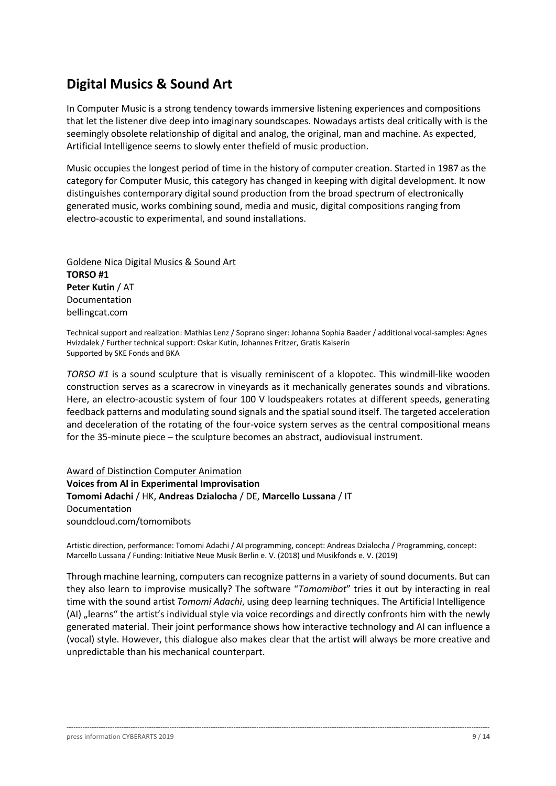## **Digital Musics & Sound Art**

In Computer Music is a strong tendency towards immersive listening experiences and compositions that let the listener dive deep into imaginary soundscapes. Nowadays artists deal critically with is the seemingly obsolete relationship of digital and analog, the original, man and machine. As expected, Artificial Intelligence seems to slowly enter thefield of music production.

Music occupies the longest period of time in the history of computer creation. Started in 1987 as the category for Computer Music, this category has changed in keeping with digital development. It now distinguishes contemporary digital sound production from the broad spectrum of electronically generated music, works combining sound, media and music, digital compositions ranging from electro-acoustic to experimental, and sound installations.

Goldene Nica Digital Musics & Sound Art **TORSO #1 Peter Kutin** / AT Documentation bellingcat.com

Technical support and realization: Mathias Lenz / Soprano singer: Johanna Sophia Baader / additional vocal-samples: Agnes Hvizdalek / Further technical support: Oskar Kutin, Johannes Fritzer, Gratis Kaiserin Supported by SKE Fonds and BKA

*TORSO #1* is a sound sculpture that is visually reminiscent of a klopotec. This windmill-like wooden construction serves as a scarecrow in vineyards as it mechanically generates sounds and vibrations. Here, an electro-acoustic system of four 100 V loudspeakers rotates at different speeds, generating feedback patterns and modulating sound signals and the spatial sound itself. The targeted acceleration and deceleration of the rotating of the four-voice system serves as the central compositional means for the 35-minute piece – the sculpture becomes an abstract, audiovisual instrument.

Award of Distinction Computer Animation **Voices from Al in Experimental Improvisation Tomomi Adachi** / HK, **Andreas Dzialocha** / DE, **Marcello Lussana** / IT Documentation soundcloud.com/tomomibots

Artistic direction, performance: Tomomi Adachi / AI programming, concept: Andreas Dzialocha / Programming, concept: Marcello Lussana / Funding: Initiative Neue Musik Berlin e. V. (2018) und Musikfonds e. V. (2019)

Through machine learning, computers can recognize patterns in a variety of sound documents. But can they also learn to improvise musically? The software "*Tomomibot*" tries it out by interacting in real time with the sound artist *Tomomi Adachi*, using deep learning techniques. The Artificial Intelligence (AI) "learns" the artist's individual style via voice recordings and directly confronts him with the newly generated material. Their joint performance shows how interactive technology and AI can influence a (vocal) style. However, this dialogue also makes clear that the artist will always be more creative and unpredictable than his mechanical counterpart.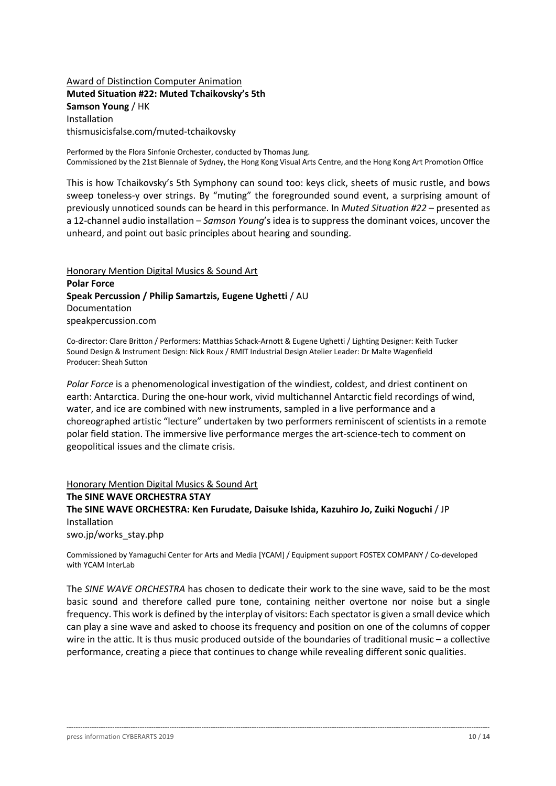### Award of Distinction Computer Animation **Muted Situation #22: Muted Tchaikovsky's 5th Samson Young** / HK Installation thismusicisfalse.com/muted-tchaikovsky

Performed by the Flora Sinfonie Orchester, conducted by Thomas Jung. Commissioned by the 21st Biennale of Sydney, the Hong Kong Visual Arts Centre, and the Hong Kong Art Promotion Office

This is how Tchaikovsky's 5th Symphony can sound too: keys click, sheets of music rustle, and bows sweep toneless-y over strings. By "muting" the foregrounded sound event, a surprising amount of previously unnoticed sounds can be heard in this performance. In *Muted Situation #22* – presented as a 12-channel audio installation – *Samson Young*'s idea is to suppress the dominant voices, uncover the unheard, and point out basic principles about hearing and sounding.

Honorary Mention Digital Musics & Sound Art **Polar Force Speak Percussion / Philip Samartzis, Eugene Ughetti** / AU Documentation speakpercussion.com

Co-director: Clare Britton / Performers: Matthias Schack-Arnott & Eugene Ughetti / Lighting Designer: Keith Tucker Sound Design & Instrument Design: Nick Roux / RMIT Industrial Design Atelier Leader: Dr Malte Wagenfield Producer: Sheah Sutton

*Polar Force* is a phenomenological investigation of the windiest, coldest, and driest continent on earth: Antarctica. During the one-hour work, vivid multichannel Antarctic field recordings of wind, water, and ice are combined with new instruments, sampled in a live performance and a choreographed artistic "lecture" undertaken by two performers reminiscent of scientists in a remote polar field station. The immersive live performance merges the art-science-tech to comment on geopolitical issues and the climate crisis.

Honorary Mention Digital Musics & Sound Art **The SINE WAVE ORCHESTRA STAY The SINE WAVE ORCHESTRA: Ken Furudate, Daisuke Ishida, Kazuhiro Jo, Zuiki Noguchi** / JP Installation

swo.jp/works\_stay.php

Commissioned by Yamaguchi Center for Arts and Media [YCAM] / Equipment support FOSTEX COMPANY / Co-developed with YCAM Interlah

The *SINE WAVE ORCHESTRA* has chosen to dedicate their work to the sine wave, said to be the most basic sound and therefore called pure tone, containing neither overtone nor noise but a single frequency. This work is defined by the interplay of visitors: Each spectator is given a small device which can play a sine wave and asked to choose its frequency and position on one of the columns of copper wire in the attic. It is thus music produced outside of the boundaries of traditional music – a collective performance, creating a piece that continues to change while revealing different sonic qualities.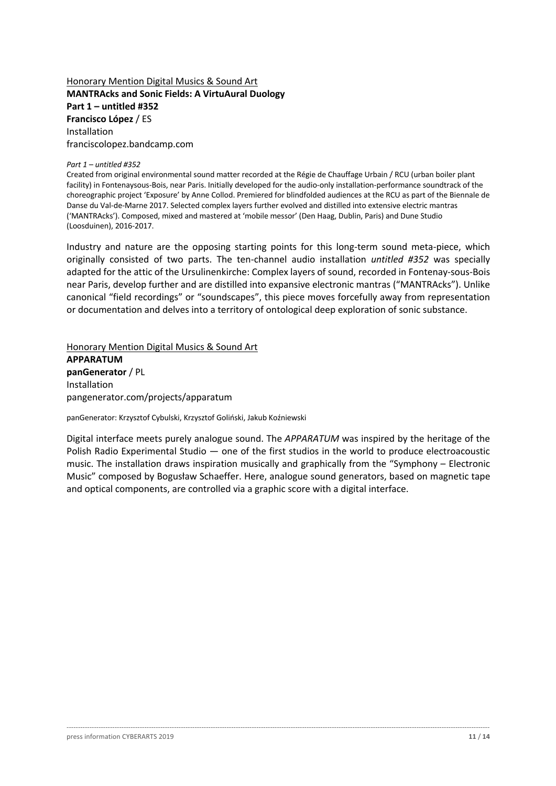## Honorary Mention Digital Musics & Sound Art **MANTRAcks and Sonic Fields: A VirtuAural Duology Part 1 – untitled #352 Francisco López** / ES Installation franciscolopez.bandcamp.com

#### *Part 1 – untitled #352*

Created from original environmental sound matter recorded at the Régie de Chauffage Urbain / RCU (urban boiler plant facility) in Fontenaysous-Bois, near Paris. Initially developed for the audio-only installation-performance soundtrack of the choreographic project 'Exposure' by Anne Collod. Premiered for blindfolded audiences at the RCU as part of the Biennale de Danse du Val-de-Marne 2017. Selected complex layers further evolved and distilled into extensive electric mantras ('MANTRAcks'). Composed, mixed and mastered at 'mobile messor' (Den Haag, Dublin, Paris) and Dune Studio (Loosduinen), 2016-2017.

Industry and nature are the opposing starting points for this long-term sound meta-piece, which originally consisted of two parts. The ten-channel audio installation *untitled #352* was specially adapted for the attic of the Ursulinenkirche: Complex layers of sound, recorded in Fontenay-sous-Bois near Paris, develop further and are distilled into expansive electronic mantras ("MANTRAcks"). Unlike canonical "field recordings" or "soundscapes", this piece moves forcefully away from representation or documentation and delves into a territory of ontological deep exploration of sonic substance.

Honorary Mention Digital Musics & Sound Art **APPARATUM panGenerator** / PL Installation pangenerator.com/projects/apparatum

panGenerator: Krzysztof Cybulski, Krzysztof Goliński, Jakub Koźniewski

Digital interface meets purely analogue sound. The *APPARATUM* was inspired by the heritage of the Polish Radio Experimental Studio — one of the first studios in the world to produce electroacoustic music. The installation draws inspiration musically and graphically from the "Symphony – Electronic Music" composed by Bogusław Schaeffer. Here, analogue sound generators, based on magnetic tape and optical components, are controlled via a graphic score with a digital interface.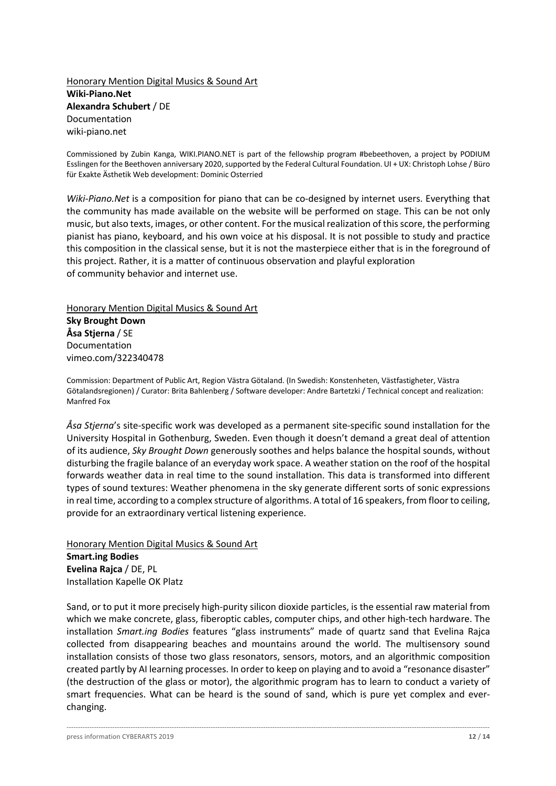Honorary Mention Digital Musics & Sound Art **Wiki-Piano.Net Alexandra Schubert** / DE Documentation wiki-piano.net

Commissioned by Zubin Kanga, WIKI.PIANO.NET is part of the fellowship program #bebeethoven, a project by PODIUM Esslingen for the Beethoven anniversary 2020, supported by the Federal Cultural Foundation. UI + UX: Christoph Lohse / Büro für Exakte Ästhetik Web development: Dominic Osterried

*Wiki-Piano.Net* is a composition for piano that can be co-designed by internet users. Everything that the community has made available on the website will be performed on stage. This can be not only music, but also texts, images, or other content. For the musical realization of this score, the performing pianist has piano, keyboard, and his own voice at his disposal. It is not possible to study and practice this composition in the classical sense, but it is not the masterpiece either that is in the foreground of this project. Rather, it is a matter of continuous observation and playful exploration of community behavior and internet use.

Honorary Mention Digital Musics & Sound Art

**Sky Brought Down Åsa Stjerna** / SE Documentation vimeo.com/322340478

Commission: Department of Public Art, Region Västra Götaland. (In Swedish: Konstenheten, Västfastigheter, Västra Götalandsregionen) / Curator: Brita Bahlenberg / Software developer: Andre Bartetzki / Technical concept and realization: Manfred Fox

*Åsa Stjerna*'s site-specific work was developed as a permanent site-specific sound installation for the University Hospital in Gothenburg, Sweden. Even though it doesn't demand a great deal of attention of its audience, *Sky Brought Down* generously soothes and helps balance the hospital sounds, without disturbing the fragile balance of an everyday work space. A weather station on the roof of the hospital forwards weather data in real time to the sound installation. This data is transformed into different types of sound textures: Weather phenomena in the sky generate different sorts of sonic expressions in real time, according to a complex structure of algorithms. A total of 16 speakers, from floor to ceiling, provide for an extraordinary vertical listening experience.

Honorary Mention Digital Musics & Sound Art **Smart.ing Bodies Evelina Rajca** / DE, PL Installation Kapelle OK Platz

Sand, or to put it more precisely high-purity silicon dioxide particles, is the essential raw material from which we make concrete, glass, fiberoptic cables, computer chips, and other high-tech hardware. The installation *Smart.ing Bodies* features "glass instruments" made of quartz sand that Evelina Rajca collected from disappearing beaches and mountains around the world. The multisensory sound installation consists of those two glass resonators, sensors, motors, and an algorithmic composition created partly by AI learning processes. In order to keep on playing and to avoid a "resonance disaster" (the destruction of the glass or motor), the algorithmic program has to learn to conduct a variety of smart frequencies. What can be heard is the sound of sand, which is pure yet complex and everchanging.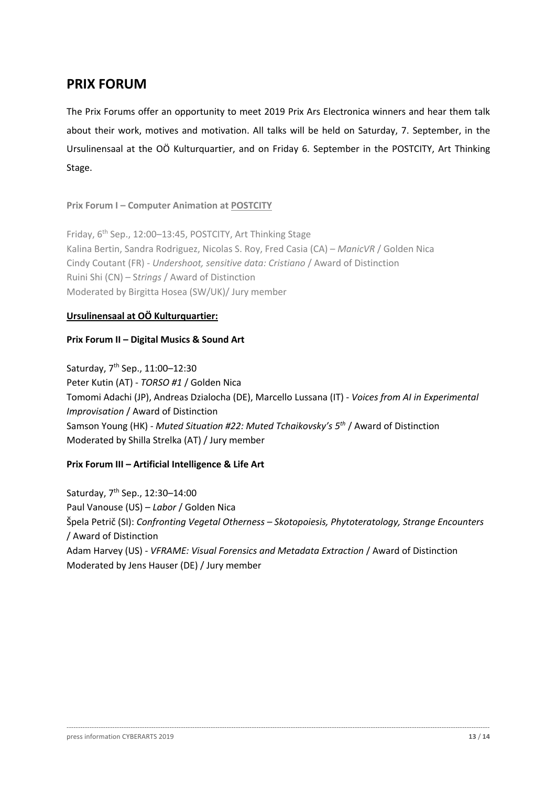## **PRIX FORUM**

The Prix Forums offer an opportunity to meet 2019 Prix Ars Electronica winners and hear them talk about their work, motives and motivation. All talks will be held on Saturday, 7. September, in the Ursulinensaal at the OÖ Kulturquartier, and on Friday 6. September in the POSTCITY, Art Thinking Stage.

**Prix Forum I – Computer Animation at POSTCITY**

Friday, 6<sup>th</sup> Sep., 12:00-13:45, POSTCITY, Art Thinking Stage Kalina Bertin, Sandra Rodriguez, Nicolas S. Roy, Fred Casia (CA) – *ManicVR* / Golden Nica Cindy Coutant (FR) - *Undershoot, sensitive data: Cristiano* / Award of Distinction Ruini Shi (CN) – S*trings* / Award of Distinction Moderated by Birgitta Hosea (SW/UK)/ Jury member

## **Ursulinensaal at OÖ Kulturquartier:**

### **Prix Forum II – Digital Musics & Sound Art**

Saturday, 7<sup>th</sup> Sep., 11:00-12:30 Peter Kutin (AT) - *TORSO #1* / Golden Nica Tomomi Adachi (JP), Andreas Dzialocha (DE), Marcello Lussana (IT) - *Voices from AI in Experimental Improvisation* / Award of Distinction Samson Young (HK) - *Muted Situation #22: Muted Tchaikovsky's 5th* / Award of Distinction Moderated by Shilla Strelka (AT) / Jury member

## **Prix Forum III – Artificial Intelligence & Life Art**

Saturday, 7th Sep., 12:30–14:00 Paul Vanouse (US) – *Labor* / Golden Nica Špela Petrič (SI): *Confronting Vegetal Otherness – Skotopoiesis, Phytoteratology, Strange Encounters* / Award of Distinction Adam Harvey (US) - *VFRAME: Visual Forensics and Metadata Extraction* / Award of Distinction Moderated by Jens Hauser (DE) / Jury member